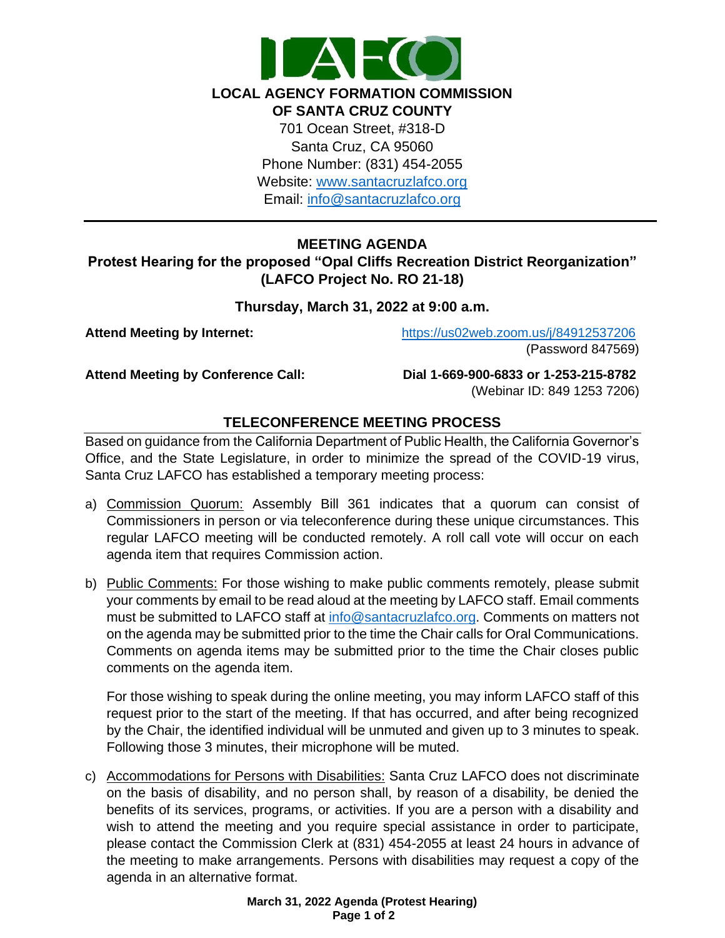

**LOCAL AGENCY FORMATION COMMISSION** 

**OF SANTA CRUZ COUNTY** 701 Ocean Street, #318-D Santa Cruz, CA 95060 Phone Number: (831) 454-2055 Website: [www.santacruzlafco.org](http://www.santacruzlafco.org/) Email: [info@santacruzlafco.org](mailto:info@santacruzlafco.org)

# **MEETING AGENDA**

**Protest Hearing for the proposed "Opal Cliffs Recreation District Reorganization" (LAFCO Project No. RO 21-18)**

## **Thursday, March 31, 2022 at 9:00 a.m.**

**Attend Meeting by Internet:** <https://us02web.zoom.us/j/84912537206> (Password 847569)

**Attend Meeting by Conference Call: Dial 1-669-900-6833 or 1-253-215-8782**  (Webinar ID: 849 1253 7206)

## **TELECONFERENCE MEETING PROCESS**

Based on guidance from the California Department of Public Health, the California Governor's Office, and the State Legislature, in order to minimize the spread of the COVID-19 virus, Santa Cruz LAFCO has established a temporary meeting process:

- a) Commission Quorum: Assembly Bill 361 indicates that a quorum can consist of Commissioners in person or via teleconference during these unique circumstances. This regular LAFCO meeting will be conducted remotely. A roll call vote will occur on each agenda item that requires Commission action.
- b) Public Comments: For those wishing to make public comments remotely, please submit your comments by email to be read aloud at the meeting by LAFCO staff. Email comments must be submitted to LAFCO staff at [info@santacruzlafco.org.](mailto:info@santacruzlafco.org) Comments on matters not on the agenda may be submitted prior to the time the Chair calls for Oral Communications. Comments on agenda items may be submitted prior to the time the Chair closes public comments on the agenda item.

For those wishing to speak during the online meeting, you may inform LAFCO staff of this request prior to the start of the meeting. If that has occurred, and after being recognized by the Chair, the identified individual will be unmuted and given up to 3 minutes to speak. Following those 3 minutes, their microphone will be muted.

c) Accommodations for Persons with Disabilities: Santa Cruz LAFCO does not discriminate on the basis of disability, and no person shall, by reason of a disability, be denied the benefits of its services, programs, or activities. If you are a person with a disability and wish to attend the meeting and you require special assistance in order to participate, please contact the Commission Clerk at (831) 454-2055 at least 24 hours in advance of the meeting to make arrangements. Persons with disabilities may request a copy of the agenda in an alternative format.